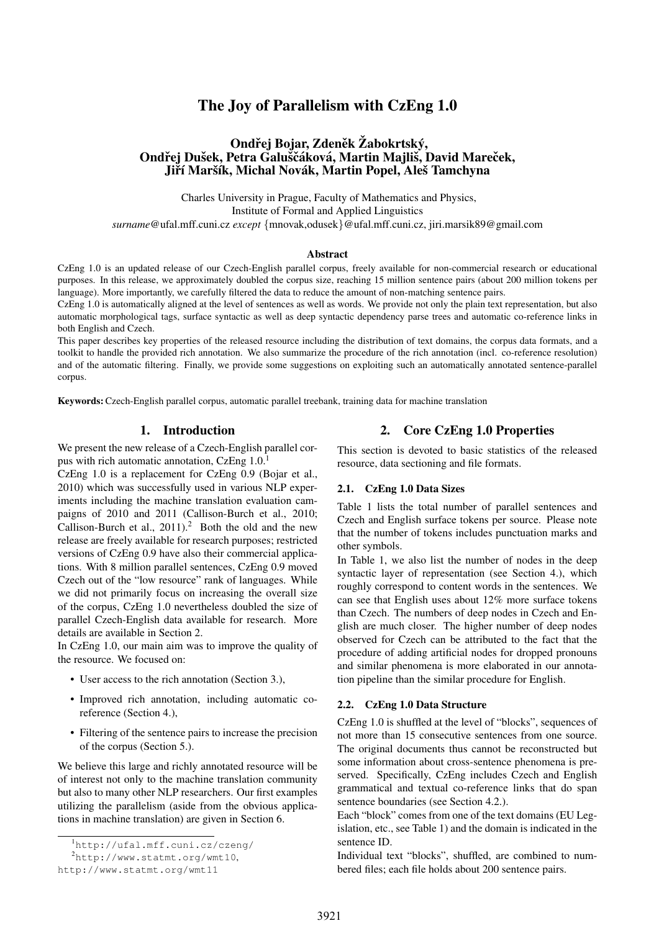# The Joy of Parallelism with CzEng 1.0

## Ondřej Bojar, Zdeněk Žabokrtský, Ondřej Dušek, Petra Galuščáková, Martin Majliš, David Mareček, Jiří Maršík, Michal Novák, Martin Popel, Aleš Tamchyna

Charles University in Prague, Faculty of Mathematics and Physics, Institute of Formal and Applied Linguistics *surname*@ufal.mff.cuni.cz *except* {mnovak,odusek}@ufal.mff.cuni.cz, jiri.marsik89@gmail.com

#### Abstract

CzEng 1.0 is an updated release of our Czech-English parallel corpus, freely available for non-commercial research or educational purposes. In this release, we approximately doubled the corpus size, reaching 15 million sentence pairs (about 200 million tokens per language). More importantly, we carefully filtered the data to reduce the amount of non-matching sentence pairs.

CzEng 1.0 is automatically aligned at the level of sentences as well as words. We provide not only the plain text representation, but also automatic morphological tags, surface syntactic as well as deep syntactic dependency parse trees and automatic co-reference links in both English and Czech.

This paper describes key properties of the released resource including the distribution of text domains, the corpus data formats, and a toolkit to handle the provided rich annotation. We also summarize the procedure of the rich annotation (incl. co-reference resolution) and of the automatic filtering. Finally, we provide some suggestions on exploiting such an automatically annotated sentence-parallel corpus.

Keywords:Czech-English parallel corpus, automatic parallel treebank, training data for machine translation

## 1. Introduction

We present the new release of a Czech-English parallel corpus with rich automatic annotation,  $CzEng 1.0<sup>1</sup>$ 

CzEng 1.0 is a replacement for CzEng 0.9 (Bojar et al., 2010) which was successfully used in various NLP experiments including the machine translation evaluation campaigns of 2010 and 2011 (Callison-Burch et al., 2010; Callison-Burch et al.,  $2011$ ).<sup>2</sup> Both the old and the new release are freely available for research purposes; restricted versions of CzEng 0.9 have also their commercial applications. With 8 million parallel sentences, CzEng 0.9 moved Czech out of the "low resource" rank of languages. While we did not primarily focus on increasing the overall size of the corpus, CzEng 1.0 nevertheless doubled the size of parallel Czech-English data available for research. More details are available in Section 2.

In CzEng 1.0, our main aim was to improve the quality of the resource. We focused on:

- User access to the rich annotation (Section 3.),
- Improved rich annotation, including automatic coreference (Section 4.),
- Filtering of the sentence pairs to increase the precision of the corpus (Section 5.).

We believe this large and richly annotated resource will be of interest not only to the machine translation community but also to many other NLP researchers. Our first examples utilizing the parallelism (aside from the obvious applications in machine translation) are given in Section 6.

## 2. Core CzEng 1.0 Properties

This section is devoted to basic statistics of the released resource, data sectioning and file formats.

#### 2.1. CzEng 1.0 Data Sizes

Table 1 lists the total number of parallel sentences and Czech and English surface tokens per source. Please note that the number of tokens includes punctuation marks and other symbols.

In Table 1, we also list the number of nodes in the deep syntactic layer of representation (see Section 4.), which roughly correspond to content words in the sentences. We can see that English uses about 12% more surface tokens than Czech. The numbers of deep nodes in Czech and English are much closer. The higher number of deep nodes observed for Czech can be attributed to the fact that the procedure of adding artificial nodes for dropped pronouns and similar phenomena is more elaborated in our annotation pipeline than the similar procedure for English.

#### 2.2. CzEng 1.0 Data Structure

CzEng 1.0 is shuffled at the level of "blocks", sequences of not more than 15 consecutive sentences from one source. The original documents thus cannot be reconstructed but some information about cross-sentence phenomena is preserved. Specifically, CzEng includes Czech and English grammatical and textual co-reference links that do span sentence boundaries (see Section 4.2.).

Each "block" comes from one of the text domains (EU Legislation, etc., see Table 1) and the domain is indicated in the sentence ID.

Individual text "blocks", shuffled, are combined to numbered files; each file holds about 200 sentence pairs.

<sup>1</sup>http://ufal.mff.cuni.cz/czeng/

 $^{2}$ http://www.statmt.org/wmt10,

http://www.statmt.org/wmt11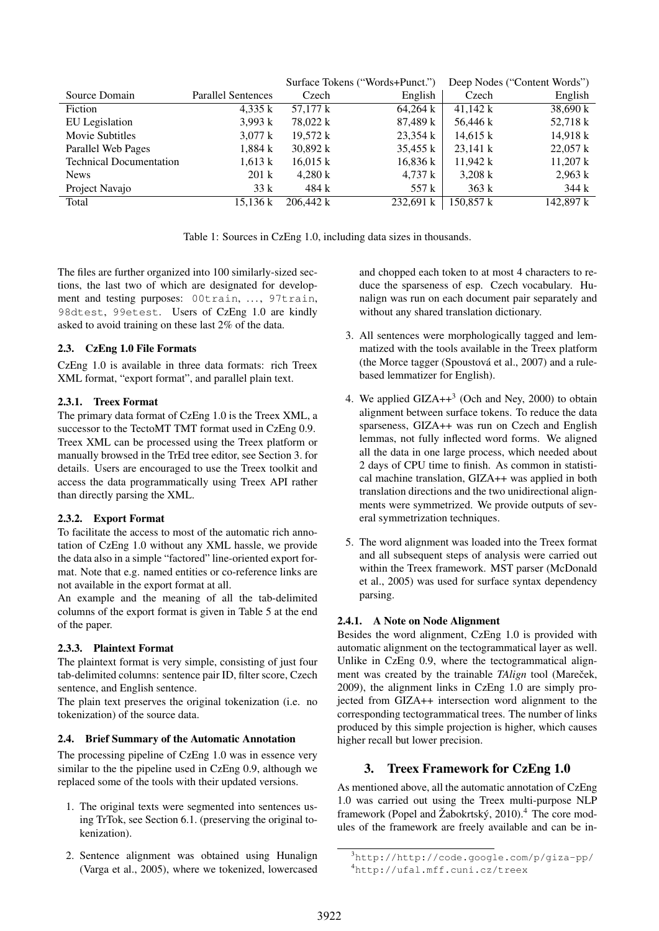|                                |                           | Surface Tokens ("Words+Punct.") |                    |                    | Deep Nodes ("Content Words") |
|--------------------------------|---------------------------|---------------------------------|--------------------|--------------------|------------------------------|
| Source Domain                  | <b>Parallel Sentences</b> | Czech                           | English            | Czech              | English                      |
| Fiction                        | 4,335 k                   | 57.177 k                        | 64,264 k           | $41,142 \text{ k}$ | 38,690 k                     |
| EU Legislation                 | 3,993 k                   | 78.022 k                        | 87,489 k           | 56,446 k           | 52,718 k                     |
| Movie Subtitles                | $3,077 \text{ k}$         | 19.572 k                        | $23,354 \text{ k}$ | $14,615 \text{ k}$ | 14,918 k                     |
| Parallel Web Pages             | 1,884 k                   | $30,892 \text{ k}$              | $35,455 \text{ k}$ | $23,141 \text{ k}$ | $22,057 \text{ k}$           |
| <b>Technical Documentation</b> | $1,613 \text{ k}$         | $16,015 \text{ k}$              | 16,836 k           | 11,942 k           | $11,207 \text{ k}$           |
| <b>News</b>                    | $201 \text{ k}$           | 4.280 k                         | $4,737 \text{ k}$  | $3,208 \text{ k}$  | 2,963 k                      |
| Project Navajo                 | 33 k                      | 484 k                           | 557 k              | 363k               | 344 k                        |
| Total                          | 15.136 k                  | 206,442 k                       | 232,691 k          | 150,857 k          | 142,897 k                    |

Table 1: Sources in CzEng 1.0, including data sizes in thousands.

The files are further organized into 100 similarly-sized sections, the last two of which are designated for development and testing purposes: 00train, ..., 97train, 98dtest, 99etest. Users of CzEng 1.0 are kindly asked to avoid training on these last 2% of the data.

## 2.3. CzEng 1.0 File Formats

CzEng 1.0 is available in three data formats: rich Treex XML format, "export format", and parallel plain text.

## 2.3.1. Treex Format

The primary data format of CzEng 1.0 is the Treex XML, a successor to the TectoMT TMT format used in CzEng 0.9. Treex XML can be processed using the Treex platform or manually browsed in the TrEd tree editor, see Section 3. for details. Users are encouraged to use the Treex toolkit and access the data programmatically using Treex API rather than directly parsing the XML.

## 2.3.2. Export Format

To facilitate the access to most of the automatic rich annotation of CzEng 1.0 without any XML hassle, we provide the data also in a simple "factored" line-oriented export format. Note that e.g. named entities or co-reference links are not available in the export format at all.

An example and the meaning of all the tab-delimited columns of the export format is given in Table 5 at the end of the paper.

## 2.3.3. Plaintext Format

The plaintext format is very simple, consisting of just four tab-delimited columns: sentence pair ID, filter score, Czech sentence, and English sentence.

The plain text preserves the original tokenization (i.e. no tokenization) of the source data.

## 2.4. Brief Summary of the Automatic Annotation

The processing pipeline of CzEng 1.0 was in essence very similar to the the pipeline used in CzEng 0.9, although we replaced some of the tools with their updated versions.

- 1. The original texts were segmented into sentences using TrTok, see Section 6.1. (preserving the original tokenization).
- 2. Sentence alignment was obtained using Hunalign (Varga et al., 2005), where we tokenized, lowercased

and chopped each token to at most 4 characters to reduce the sparseness of esp. Czech vocabulary. Hunalign was run on each document pair separately and without any shared translation dictionary.

- 3. All sentences were morphologically tagged and lemmatized with the tools available in the Treex platform (the Morce tagger (Spoustová et al., 2007) and a rulebased lemmatizer for English).
- 4. We applied  $GIZA++^3$  (Och and Ney, 2000) to obtain alignment between surface tokens. To reduce the data sparseness, GIZA++ was run on Czech and English lemmas, not fully inflected word forms. We aligned all the data in one large process, which needed about 2 days of CPU time to finish. As common in statistical machine translation, GIZA++ was applied in both translation directions and the two unidirectional alignments were symmetrized. We provide outputs of several symmetrization techniques.
- 5. The word alignment was loaded into the Treex format and all subsequent steps of analysis were carried out within the Treex framework. MST parser (McDonald et al., 2005) was used for surface syntax dependency parsing.

## 2.4.1. A Note on Node Alignment

Besides the word alignment, CzEng 1.0 is provided with automatic alignment on the tectogrammatical layer as well. Unlike in CzEng 0.9, where the tectogrammatical alignment was created by the trainable *TAlign* tool (Mareček, 2009), the alignment links in CzEng 1.0 are simply projected from GIZA++ intersection word alignment to the corresponding tectogrammatical trees. The number of links produced by this simple projection is higher, which causes higher recall but lower precision.

## 3. Treex Framework for CzEng 1.0

As mentioned above, all the automatic annotation of CzEng 1.0 was carried out using the Treex multi-purpose NLP framework (Popel and Žabokrtský, 2010).<sup>4</sup> The core modules of the framework are freely available and can be in-

<sup>3</sup>http://http://code.google.com/p/giza-pp/ <sup>4</sup>http://ufal.mff.cuni.cz/treex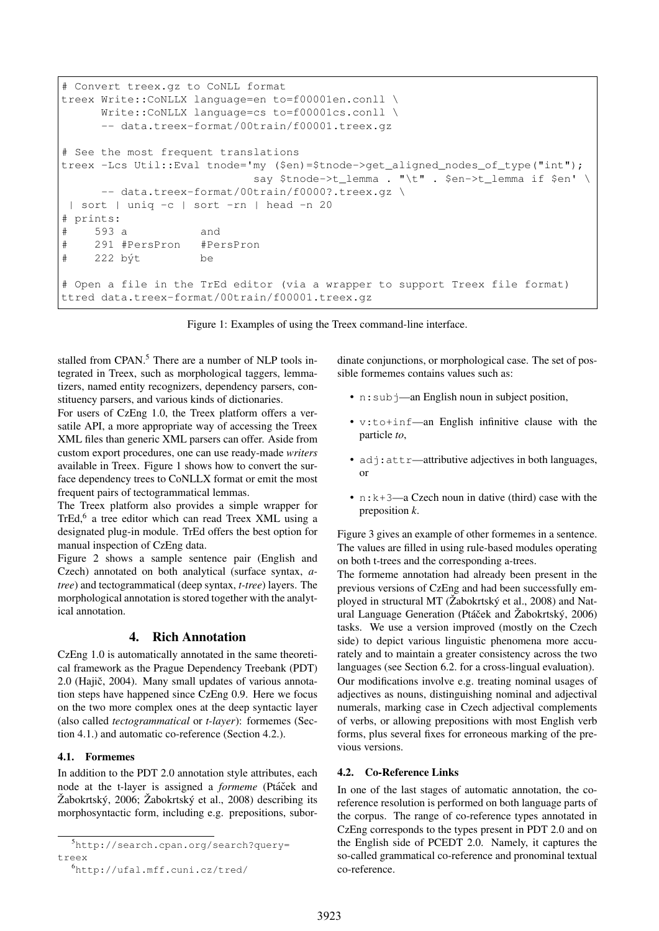```
# Convert treex.gz to CoNLL format
treex Write::CoNLLX language=en to=f00001en.conll \
     Write::CoNLLX language=cs to=f00001cs.conll \
     -- data.treex-format/00train/f00001.treex.gz
# See the most frequent translations
treex -Lcs Util::Eval tnode='my ($en)=$tnode->get_aligned_nodes_of_type("int");
                            say $tnode->t_lemma . "\t" . $en->t_lemma if $en' \
     -- data.treex-format/00train/f0000?.treex.gz \
 | sort | uniq -c | sort -rn | head -n 20
# prints:
# 593 a and
# 291 #PersPron #PersPron
# 222 b´yt be
# Open a file in the TrEd editor (via a wrapper to support Treex file format)
ttred data.treex-format/00train/f00001.treex.gz
```
Figure 1: Examples of using the Treex command-line interface.

stalled from CPAN.<sup>5</sup> There are a number of NLP tools integrated in Treex, such as morphological taggers, lemmatizers, named entity recognizers, dependency parsers, constituency parsers, and various kinds of dictionaries.

For users of CzEng 1.0, the Treex platform offers a versatile API, a more appropriate way of accessing the Treex XML files than generic XML parsers can offer. Aside from custom export procedures, one can use ready-made *writers* available in Treex. Figure 1 shows how to convert the surface dependency trees to CoNLLX format or emit the most frequent pairs of tectogrammatical lemmas.

The Treex platform also provides a simple wrapper for TrEd,<sup>6</sup> a tree editor which can read Treex XML using a designated plug-in module. TrEd offers the best option for manual inspection of CzEng data.

Figure 2 shows a sample sentence pair (English and Czech) annotated on both analytical (surface syntax, *atree*) and tectogrammatical (deep syntax, *t-tree*) layers. The morphological annotation is stored together with the analytical annotation.

## 4. Rich Annotation

CzEng 1.0 is automatically annotated in the same theoretical framework as the Prague Dependency Treebank (PDT)  $2.0$  (Hajič,  $2004$ ). Many small updates of various annotation steps have happened since CzEng 0.9. Here we focus on the two more complex ones at the deep syntactic layer (also called *tectogrammatical* or *t-layer*): formemes (Section 4.1.) and automatic co-reference (Section 4.2.).

## 4.1. Formemes

In addition to the PDT 2.0 annotation style attributes, each node at the t-layer is assigned a *formeme* (Ptáček and  $\check{Z}$ abokrtský, 2006;  $\check{Z}$ abokrtský et al., 2008) describing its morphosyntactic form, including e.g. prepositions, subordinate conjunctions, or morphological case. The set of possible formemes contains values such as:

- n: sub  $\gamma$ —an English noun in subject position,
- v:to+inf—an English infinitive clause with the particle *to*,
- adj: attr-attributive adjectives in both languages, or
- $n:k+3$ —a Czech noun in dative (third) case with the preposition *k*.

Figure 3 gives an example of other formemes in a sentence. The values are filled in using rule-based modules operating on both t-trees and the corresponding a-trees.

The formeme annotation had already been present in the previous versions of CzEng and had been successfully employed in structural MT ( $\check{Z}$ abokrtský et al., 2008) and Natural Language Generation (Ptáček and Žabokrtský, 2006) tasks. We use a version improved (mostly on the Czech side) to depict various linguistic phenomena more accurately and to maintain a greater consistency across the two languages (see Section 6.2. for a cross-lingual evaluation). Our modifications involve e.g. treating nominal usages of adjectives as nouns, distinguishing nominal and adjectival numerals, marking case in Czech adjectival complements of verbs, or allowing prepositions with most English verb forms, plus several fixes for erroneous marking of the previous versions.

#### 4.2. Co-Reference Links

In one of the last stages of automatic annotation, the coreference resolution is performed on both language parts of the corpus. The range of co-reference types annotated in CzEng corresponds to the types present in PDT 2.0 and on the English side of PCEDT 2.0. Namely, it captures the so-called grammatical co-reference and pronominal textual co-reference.

<sup>5</sup>http://search.cpan.org/search?query= treex

<sup>6</sup>http://ufal.mff.cuni.cz/tred/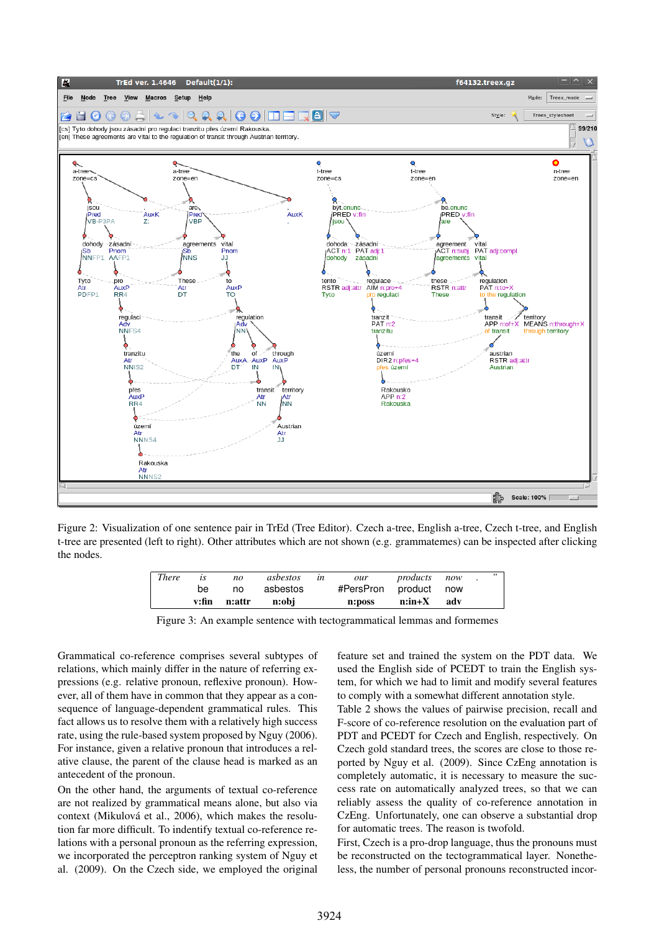

Figure 2: Visualization of one sentence pair in TrEd (Tree Editor). Czech a-tree, English a-tree, Czech t-tree, and English t-tree are presented (left to right). Other attributes which are not shown (e.g. grammatemes) can be inspected after clicking the nodes.

| <b>There</b> | is | no           | asbestos | $\iota$ n | our                   | <i>products</i> now |  |  |
|--------------|----|--------------|----------|-----------|-----------------------|---------------------|--|--|
|              | be | no           | asbestos |           | #PersPron product now |                     |  |  |
|              |    | v:fin n:attr | n:obi    |           | n:poss                | n:in+X adv          |  |  |

Figure 3: An example sentence with tectogrammatical lemmas and formemes

Grammatical co-reference comprises several subtypes of relations, which mainly differ in the nature of referring expressions (e.g. relative pronoun, reflexive pronoun). However, all of them have in common that they appear as a consequence of language-dependent grammatical rules. This fact allows us to resolve them with a relatively high success rate, using the rule-based system proposed by Nguy (2006). For instance, given a relative pronoun that introduces a relative clause, the parent of the clause head is marked as an antecedent of the pronoun.

On the other hand, the arguments of textual co-reference are not realized by grammatical means alone, but also via context (Mikulová et al., 2006), which makes the resolution far more difficult. To indentify textual co-reference relations with a personal pronoun as the referring expression, we incorporated the perceptron ranking system of Nguy et al. (2009). On the Czech side, we employed the original feature set and trained the system on the PDT data. We used the English side of PCEDT to train the English system, for which we had to limit and modify several features to comply with a somewhat different annotation style.

Table 2 shows the values of pairwise precision, recall and F-score of co-reference resolution on the evaluation part of PDT and PCEDT for Czech and English, respectively. On Czech gold standard trees, the scores are close to those reported by Nguy et al. (2009). Since CzEng annotation is completely automatic, it is necessary to measure the success rate on automatically analyzed trees, so that we can reliably assess the quality of co-reference annotation in CzEng. Unfortunately, one can observe a substantial drop for automatic trees. The reason is twofold.

First, Czech is a pro-drop language, thus the pronouns must be reconstructed on the tectogrammatical layer. Nonetheless, the number of personal pronouns reconstructed incor-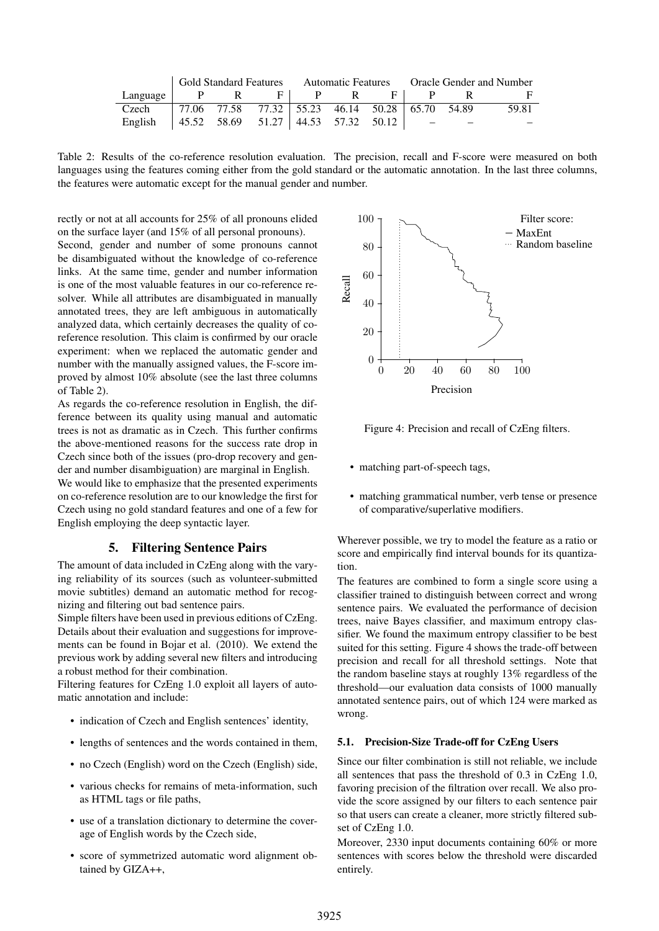|          |  |     |                                                       |  |                             |  | Gold Standard Features   Automatic Features   Oracle Gender and Number |  |       |
|----------|--|-----|-------------------------------------------------------|--|-----------------------------|--|------------------------------------------------------------------------|--|-------|
| Language |  | P R |                                                       |  | $F \parallel P \parallel R$ |  | $F \parallel P$                                                        |  |       |
| Czech    |  |     | 77.06 77.58 77.32   55.23 46.14 50.28   65.70 54.89   |  |                             |  |                                                                        |  | 59.81 |
| English  |  |     | $\vert$ 45.52 58.69 51.27 44.53 57.32 50.12 $\vert$ - |  |                             |  |                                                                        |  |       |

Table 2: Results of the co-reference resolution evaluation. The precision, recall and F-score were measured on both languages using the features coming either from the gold standard or the automatic annotation. In the last three columns, the features were automatic except for the manual gender and number.

rectly or not at all accounts for 25% of all pronouns elided on the surface layer (and 15% of all personal pronouns).

Second, gender and number of some pronouns cannot be disambiguated without the knowledge of co-reference links. At the same time, gender and number information is one of the most valuable features in our co-reference resolver. While all attributes are disambiguated in manually annotated trees, they are left ambiguous in automatically analyzed data, which certainly decreases the quality of coreference resolution. This claim is confirmed by our oracle experiment: when we replaced the automatic gender and number with the manually assigned values, the F-score improved by almost 10% absolute (see the last three columns of Table 2).

As regards the co-reference resolution in English, the difference between its quality using manual and automatic trees is not as dramatic as in Czech. This further confirms the above-mentioned reasons for the success rate drop in Czech since both of the issues (pro-drop recovery and gender and number disambiguation) are marginal in English.

We would like to emphasize that the presented experiments on co-reference resolution are to our knowledge the first for Czech using no gold standard features and one of a few for English employing the deep syntactic layer.

## 5. Filtering Sentence Pairs

The amount of data included in CzEng along with the varying reliability of its sources (such as volunteer-submitted movie subtitles) demand an automatic method for recognizing and filtering out bad sentence pairs.

Simple filters have been used in previous editions of CzEng. Details about their evaluation and suggestions for improvements can be found in Bojar et al. (2010). We extend the previous work by adding several new filters and introducing a robust method for their combination.

Filtering features for CzEng 1.0 exploit all layers of automatic annotation and include:

- indication of Czech and English sentences' identity,
- lengths of sentences and the words contained in them,
- no Czech (English) word on the Czech (English) side,
- various checks for remains of meta-information, such as HTML tags or file paths,
- use of a translation dictionary to determine the coverage of English words by the Czech side,
- score of symmetrized automatic word alignment obtained by GIZA++,



Figure 4: Precision and recall of CzEng filters.

- matching part-of-speech tags,
- matching grammatical number, verb tense or presence of comparative/superlative modifiers.

Wherever possible, we try to model the feature as a ratio or score and empirically find interval bounds for its quantization.

The features are combined to form a single score using a classifier trained to distinguish between correct and wrong sentence pairs. We evaluated the performance of decision trees, naive Bayes classifier, and maximum entropy classifier. We found the maximum entropy classifier to be best suited for this setting. Figure 4 shows the trade-off between precision and recall for all threshold settings. Note that the random baseline stays at roughly 13% regardless of the threshold—our evaluation data consists of 1000 manually annotated sentence pairs, out of which 124 were marked as wrong.

#### 5.1. Precision-Size Trade-off for CzEng Users

Since our filter combination is still not reliable, we include all sentences that pass the threshold of 0.3 in CzEng 1.0, favoring precision of the filtration over recall. We also provide the score assigned by our filters to each sentence pair so that users can create a cleaner, more strictly filtered subset of CzEng 1.0.

Moreover, 2330 input documents containing 60% or more sentences with scores below the threshold were discarded entirely.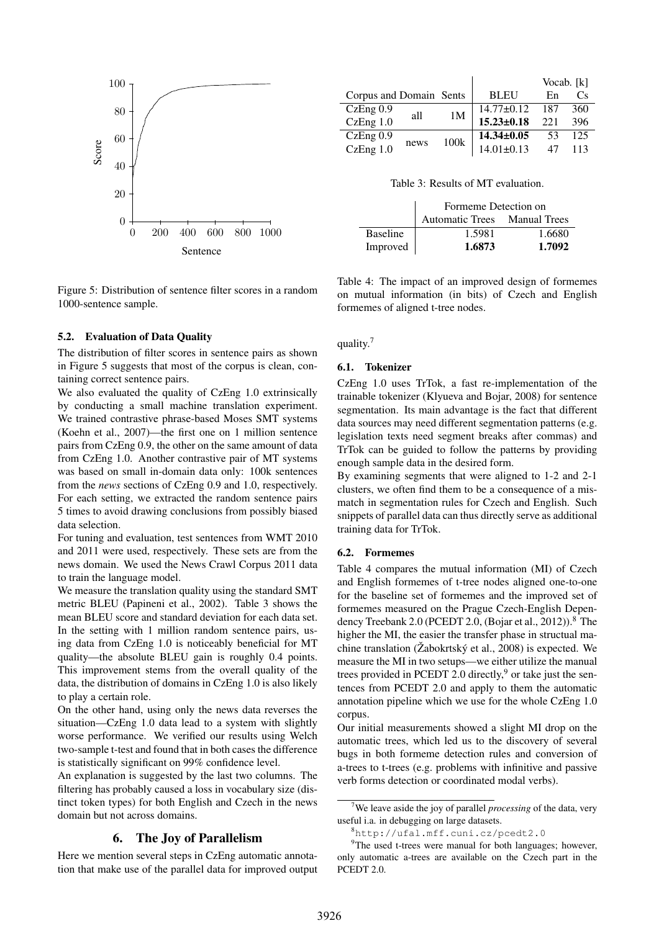

Figure 5: Distribution of sentence filter scores in a random 1000-sentence sample.

#### 5.2. Evaluation of Data Quality

The distribution of filter scores in sentence pairs as shown in Figure 5 suggests that most of the corpus is clean, containing correct sentence pairs.

We also evaluated the quality of CzEng 1.0 extrinsically by conducting a small machine translation experiment. We trained contrastive phrase-based Moses SMT systems (Koehn et al., 2007)—the first one on 1 million sentence pairs from CzEng 0.9, the other on the same amount of data from CzEng 1.0. Another contrastive pair of MT systems was based on small in-domain data only: 100k sentences from the *news* sections of CzEng 0.9 and 1.0, respectively. For each setting, we extracted the random sentence pairs 5 times to avoid drawing conclusions from possibly biased data selection.

For tuning and evaluation, test sentences from WMT 2010 and 2011 were used, respectively. These sets are from the news domain. We used the News Crawl Corpus 2011 data to train the language model.

We measure the translation quality using the standard SMT metric BLEU (Papineni et al., 2002). Table 3 shows the mean BLEU score and standard deviation for each data set. In the setting with 1 million random sentence pairs, using data from CzEng 1.0 is noticeably beneficial for MT quality—the absolute BLEU gain is roughly 0.4 points. This improvement stems from the overall quality of the data, the distribution of domains in CzEng 1.0 is also likely to play a certain role.

On the other hand, using only the news data reverses the situation—CzEng 1.0 data lead to a system with slightly worse performance. We verified our results using Welch two-sample t-test and found that in both cases the difference is statistically significant on 99% confidence level.

An explanation is suggested by the last two columns. The filtering has probably caused a loss in vocabulary size (distinct token types) for both English and Czech in the news domain but not across domains.

#### 6. The Joy of Parallelism

Here we mention several steps in CzEng automatic annotation that make use of the parallel data for improved output

|                         |      |                |                  | Vocab. [k] |                             |
|-------------------------|------|----------------|------------------|------------|-----------------------------|
| Corpus and Domain Sents |      |                | <b>BLEU</b>      | En         | $\mathcal{C}_{\mathcal{S}}$ |
| CzEng 0.9               | all  | 1 <sub>M</sub> | $14.77 \pm 0.12$ | 187        | 360                         |
| CzEng 1.0               |      |                | $15.23 \pm 0.18$ | 221        | 396                         |
| CzEng 0.9               | news | 100k           | $14.34 \pm 0.05$ | 53         | 125                         |
| CzEng 1.0               |      |                | $14.01 \pm 0.13$ | 47         | 113                         |

Table 3: Results of MT evaluation.

|                 | Formeme Detection on         |        |  |  |  |
|-----------------|------------------------------|--------|--|--|--|
|                 | Automatic Trees Manual Trees |        |  |  |  |
| <b>Baseline</b> | 1.5981                       | 1.6680 |  |  |  |
| Improved        | 1.6873                       | 1.7092 |  |  |  |

Table 4: The impact of an improved design of formemes on mutual information (in bits) of Czech and English formemes of aligned t-tree nodes.

quality.<sup>7</sup>

#### 6.1. Tokenizer

CzEng 1.0 uses TrTok, a fast re-implementation of the trainable tokenizer (Klyueva and Bojar, 2008) for sentence segmentation. Its main advantage is the fact that different data sources may need different segmentation patterns (e.g. legislation texts need segment breaks after commas) and TrTok can be guided to follow the patterns by providing enough sample data in the desired form.

By examining segments that were aligned to 1-2 and 2-1 clusters, we often find them to be a consequence of a mismatch in segmentation rules for Czech and English. Such snippets of parallel data can thus directly serve as additional training data for TrTok.

#### 6.2. Formemes

Table 4 compares the mutual information (MI) of Czech and English formemes of t-tree nodes aligned one-to-one for the baseline set of formemes and the improved set of formemes measured on the Prague Czech-English Dependency Treebank 2.0 (PCEDT 2.0, (Bojar et al., 2012)).<sup>8</sup> The higher the MI, the easier the transfer phase in structual machine translation ( $\check{Z}$ abokrtský et al., 2008) is expected. We measure the MI in two setups—we either utilize the manual trees provided in PCEDT 2.0 directly,<sup>9</sup> or take just the sentences from PCEDT 2.0 and apply to them the automatic annotation pipeline which we use for the whole CzEng 1.0 corpus.

Our initial measurements showed a slight MI drop on the automatic trees, which led us to the discovery of several bugs in both formeme detection rules and conversion of a-trees to t-trees (e.g. problems with infinitive and passive verb forms detection or coordinated modal verbs).

<sup>7</sup>We leave aside the joy of parallel *processing* of the data, very useful i.a. in debugging on large datasets.

<sup>8</sup>http://ufal.mff.cuni.cz/pcedt2.0

<sup>&</sup>lt;sup>9</sup>The used t-trees were manual for both languages; however, only automatic a-trees are available on the Czech part in the PCEDT 2.0.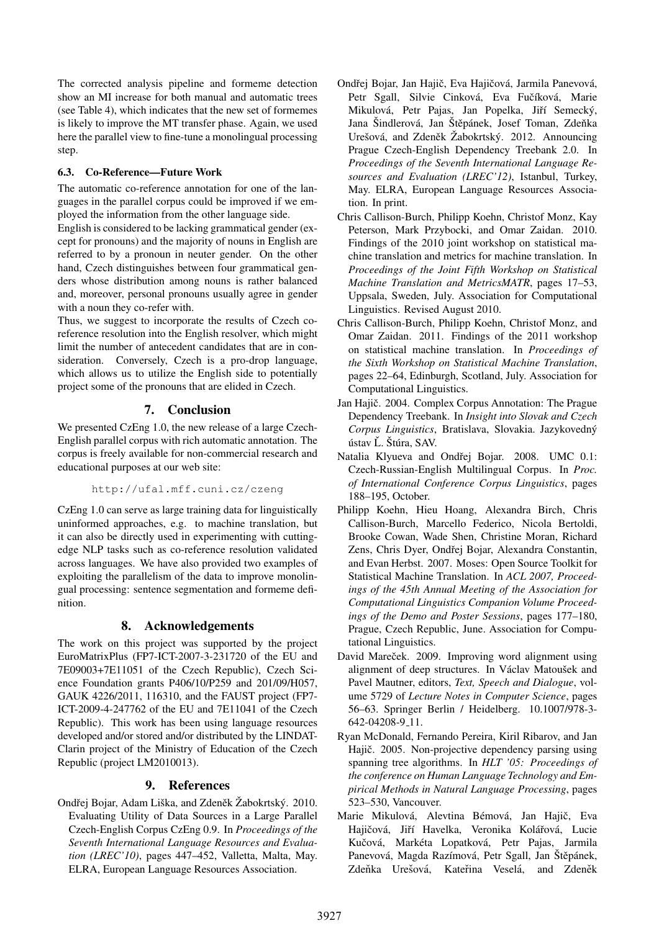The corrected analysis pipeline and formeme detection show an MI increase for both manual and automatic trees (see Table 4), which indicates that the new set of formemes is likely to improve the MT transfer phase. Again, we used here the parallel view to fine-tune a monolingual processing step.

## 6.3. Co-Reference—Future Work

The automatic co-reference annotation for one of the languages in the parallel corpus could be improved if we employed the information from the other language side.

English is considered to be lacking grammatical gender (except for pronouns) and the majority of nouns in English are referred to by a pronoun in neuter gender. On the other hand, Czech distinguishes between four grammatical genders whose distribution among nouns is rather balanced and, moreover, personal pronouns usually agree in gender with a noun they co-refer with.

Thus, we suggest to incorporate the results of Czech coreference resolution into the English resolver, which might limit the number of antecedent candidates that are in consideration. Conversely, Czech is a pro-drop language, which allows us to utilize the English side to potentially project some of the pronouns that are elided in Czech.

## 7. Conclusion

We presented CzEng 1.0, the new release of a large Czech-English parallel corpus with rich automatic annotation. The corpus is freely available for non-commercial research and educational purposes at our web site:

#### http://ufal.mff.cuni.cz/czeng

CzEng 1.0 can serve as large training data for linguistically uninformed approaches, e.g. to machine translation, but it can also be directly used in experimenting with cuttingedge NLP tasks such as co-reference resolution validated across languages. We have also provided two examples of exploiting the parallelism of the data to improve monolingual processing: sentence segmentation and formeme definition.

## 8. Acknowledgements

The work on this project was supported by the project EuroMatrixPlus (FP7-ICT-2007-3-231720 of the EU and 7E09003+7E11051 of the Czech Republic), Czech Science Foundation grants P406/10/P259 and 201/09/H057, GAUK 4226/2011, 116310, and the FAUST project (FP7- ICT-2009-4-247762 of the EU and 7E11041 of the Czech Republic). This work has been using language resources developed and/or stored and/or distributed by the LINDAT-Clarin project of the Ministry of Education of the Czech Republic (project LM2010013).

#### 9. References

Ondřej Bojar, Adam Liška, and Zdeněk Žabokrtský. 2010. Evaluating Utility of Data Sources in a Large Parallel Czech-English Corpus CzEng 0.9. In *Proceedings of the Seventh International Language Resources and Evaluation (LREC'10)*, pages 447–452, Valletta, Malta, May. ELRA, European Language Resources Association.

- Ondřej Bojar, Jan Hajič, Eva Hajičová, Jarmila Panevová, Petr Sgall, Silvie Cinková, Eva Fučíková, Marie Mikulová, Petr Pajas, Jan Popelka, Jiří Semecký, Jana Šindlerová, Jan Štěpánek, Josef Toman, Zdeňka Urešová, and Zdeněk Žabokrtský. 2012. Announcing Prague Czech-English Dependency Treebank 2.0. In *Proceedings of the Seventh International Language Resources and Evaluation (LREC'12)*, Istanbul, Turkey, May. ELRA, European Language Resources Association. In print.
- Chris Callison-Burch, Philipp Koehn, Christof Monz, Kay Peterson, Mark Przybocki, and Omar Zaidan. 2010. Findings of the 2010 joint workshop on statistical machine translation and metrics for machine translation. In *Proceedings of the Joint Fifth Workshop on Statistical Machine Translation and MetricsMATR*, pages 17–53, Uppsala, Sweden, July. Association for Computational Linguistics. Revised August 2010.
- Chris Callison-Burch, Philipp Koehn, Christof Monz, and Omar Zaidan. 2011. Findings of the 2011 workshop on statistical machine translation. In *Proceedings of the Sixth Workshop on Statistical Machine Translation*, pages 22–64, Edinburgh, Scotland, July. Association for Computational Linguistics.
- Jan Hajič. 2004. Complex Corpus Annotation: The Prague Dependency Treebank. In *Insight into Slovak and Czech Corpus Linguistics*, Bratislava, Slovakia. Jazykovedny´ ústav Ľ. Štúra, SAV.
- Natalia Klyueva and Ondřej Bojar. 2008. UMC 0.1: Czech-Russian-English Multilingual Corpus. In *Proc. of International Conference Corpus Linguistics*, pages 188–195, October.
- Philipp Koehn, Hieu Hoang, Alexandra Birch, Chris Callison-Burch, Marcello Federico, Nicola Bertoldi, Brooke Cowan, Wade Shen, Christine Moran, Richard Zens, Chris Dyer, Ondřej Bojar, Alexandra Constantin, and Evan Herbst. 2007. Moses: Open Source Toolkit for Statistical Machine Translation. In *ACL 2007, Proceedings of the 45th Annual Meeting of the Association for Computational Linguistics Companion Volume Proceedings of the Demo and Poster Sessions*, pages 177–180, Prague, Czech Republic, June. Association for Computational Linguistics.
- David Mareček. 2009. Improving word alignment using alignment of deep structures. In Václav Matoušek and Pavel Mautner, editors, *Text, Speech and Dialogue*, volume 5729 of *Lecture Notes in Computer Science*, pages 56–63. Springer Berlin / Heidelberg. 10.1007/978-3- 642-04208-9 11.
- Ryan McDonald, Fernando Pereira, Kiril Ribarov, and Jan Hajič. 2005. Non-projective dependency parsing using spanning tree algorithms. In *HLT '05: Proceedings of the conference on Human Language Technology and Empirical Methods in Natural Language Processing*, pages 523–530, Vancouver.
- Marie Mikulová, Alevtina Bémová, Jan Hajič, Eva Hajičová, Jiří Havelka, Veronika Kolářová, Lucie Kučová, Markéta Lopatková, Petr Pajas, Jarmila Panevová, Magda Razímová, Petr Sgall, Jan Štěpánek, Zdeňka Urešová, Kateřina Veselá, and Zdeněk